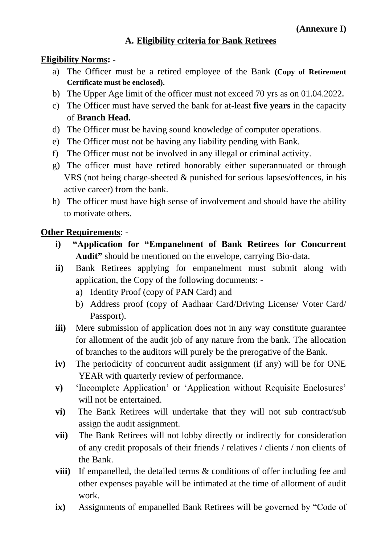## **A. Eligibility criteria for Bank Retirees**

## **Eligibility Norms: -**

- a) The Officer must be a retired employee of the Bank **(Copy of Retirement Certificate must be enclosed).**
- b) The Upper Age limit of the officer must not exceed 70 yrs as on 01.04.2022**.**
- c) The Officer must have served the bank for at-least **five years** in the capacity of **Branch Head.**
- d) The Officer must be having sound knowledge of computer operations.
- e) The Officer must not be having any liability pending with Bank.
- f) The Officer must not be involved in any illegal or criminal activity.
- g) The officer must have retired honorably either superannuated or through VRS (not being charge-sheeted & punished for serious lapses/offences, in his active career) from the bank.
- h) The officer must have high sense of involvement and should have the ability to motivate others.

## **Other Requirements**: -

- **i) "Application for "Empanelment of Bank Retirees for Concurrent Audit"** should be mentioned on the envelope, carrying Bio-data.
- **ii)** Bank Retirees applying for empanelment must submit along with application, the Copy of the following documents:
	- a) Identity Proof (copy of PAN Card) and
	- b) Address proof (copy of Aadhaar Card/Driving License/ Voter Card/ Passport).
- **iii**) Mere submission of application does not in any way constitute guarantee for allotment of the audit job of any nature from the bank. The allocation of branches to the auditors will purely be the prerogative of the Bank.
- **iv)** The periodicity of concurrent audit assignment (if any) will be for ONE YEAR with quarterly review of performance.
- **v)** 'Incomplete Application' or 'Application without Requisite Enclosures' will not be entertained.
- **vi)** The Bank Retirees will undertake that they will not sub contract/sub assign the audit assignment.
- **vii)** The Bank Retirees will not lobby directly or indirectly for consideration of any credit proposals of their friends / relatives / clients / non clients of the Bank.
- **viii)** If empanelled, the detailed terms & conditions of offer including fee and other expenses payable will be intimated at the time of allotment of audit work.
- **ix)** Assignments of empanelled Bank Retirees will be governed by "Code of